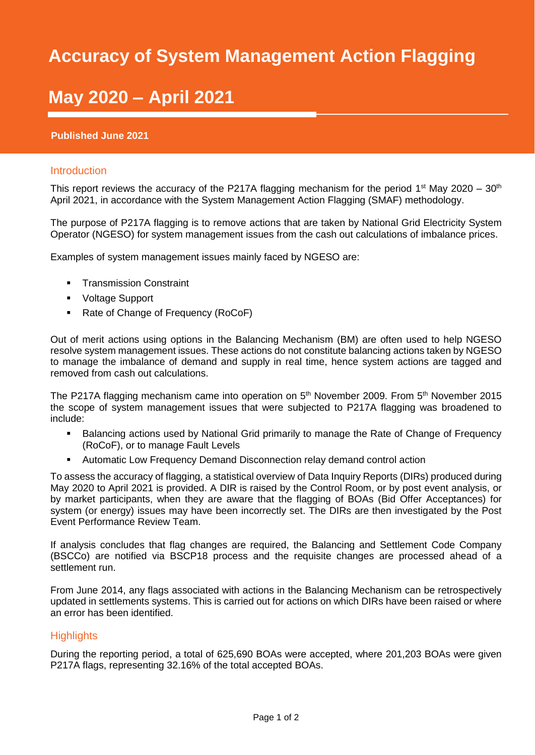## SMAF Report 2020/21 **Accuracy of System Management Action Flagging**

# **May 2020 - April 2021**

#### **Published June 2021**

#### Introduction

This report reviews the accuracy of the P217A flagging mechanism for the period 1<sup>st</sup> May 2020 – 30<sup>th</sup> April 2021, in accordance with the System Management Action Flagging (SMAF) methodology.

The purpose of P217A flagging is to remove actions that are taken by National Grid Electricity System Operator (NGESO) for system management issues from the cash out calculations of imbalance prices.

Examples of system management issues mainly faced by NGESO are:

- **•** Transmission Constraint
- Voltage Support
- Rate of Change of Frequency (RoCoF)

Out of merit actions using options in the Balancing Mechanism (BM) are often used to help NGESO resolve system management issues. These actions do not constitute balancing actions taken by NGESO to manage the imbalance of demand and supply in real time, hence system actions are tagged and removed from cash out calculations.

The P217A flagging mechanism came into operation on  $5<sup>th</sup>$  November 2009. From  $5<sup>th</sup>$  November 2015 the scope of system management issues that were subjected to P217A flagging was broadened to include:

- Balancing actions used by National Grid primarily to manage the Rate of Change of Frequency (RoCoF), or to manage Fault Levels
- Automatic Low Frequency Demand Disconnection relay demand control action

To assess the accuracy of flagging, a statistical overview of Data Inquiry Reports (DIRs) produced during May 2020 to April 2021 is provided. A DIR is raised by the Control Room, or by post event analysis, or by market participants, when they are aware that the flagging of BOAs (Bid Offer Acceptances) for system (or energy) issues may have been incorrectly set. The DIRs are then investigated by the Post Event Performance Review Team.

If analysis concludes that flag changes are required, the Balancing and Settlement Code Company (BSCCo) are notified via BSCP18 process and the requisite changes are processed ahead of a settlement run.

From June 2014, any flags associated with actions in the Balancing Mechanism can be retrospectively updated in settlements systems. This is carried out for actions on which DIRs have been raised or where an error has been identified.

### **Highlights**

During the reporting period, a total of 625,690 BOAs were accepted, where 201,203 BOAs were given P217A flags, representing 32.16% of the total accepted BOAs.